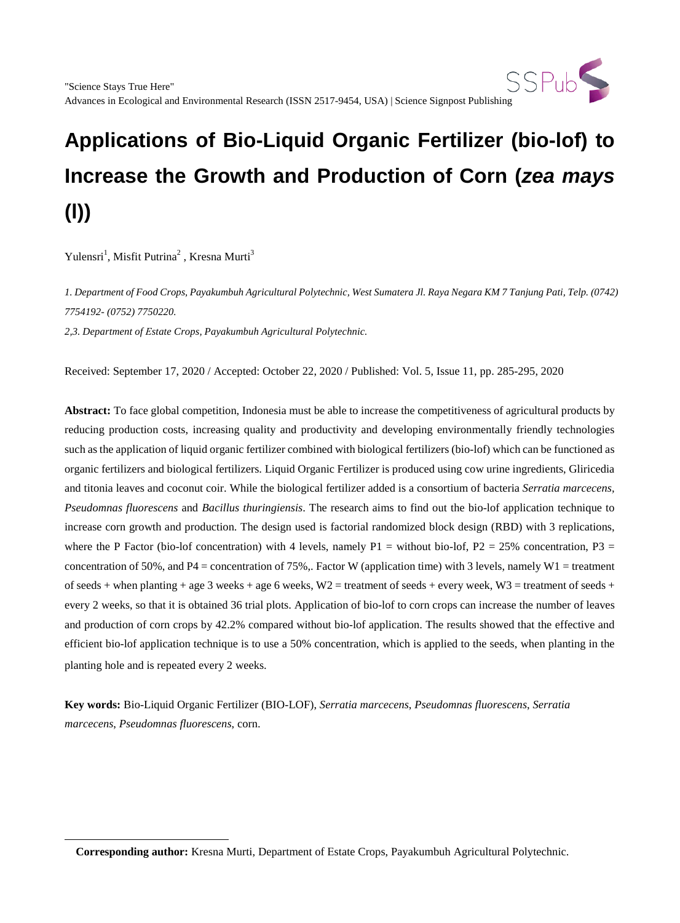

# **Applications of Bio-Liquid Organic Fertilizer (bio-lof) to Increase the Growth and Production of Corn (***zea mays* **(l))**

Yulensri<sup>1</sup>, Misfit Putrina<sup>2</sup>, Kresna Murti<sup>3</sup>

*1. Department of Food Crops, Payakumbuh Agricultural Polytechnic, West Sumatera Jl. Raya Negara KM 7 Tanjung Pati, Telp. (0742) 7754192- (0752) 7750220.*

*2,3. Department of Estate Crops, Payakumbuh Agricultural Polytechnic.*

Received: September 17, 2020 / Accepted: October 22, 2020 / Published: Vol. 5, Issue 11, pp. 285-295, 2020

**Abstract:** To face global competition, Indonesia must be able to increase the competitiveness of agricultural products by reducing production costs, increasing quality and productivity and developing environmentally friendly technologies such as the application of liquid organic fertilizer combined with biological fertilizers (bio-lof) which can be functioned as organic fertilizers and biological fertilizers. Liquid Organic Fertilizer is produced using cow urine ingredients, Gliricedia and titonia leaves and coconut coir. While the biological fertilizer added is a consortium of bacteria *Serratia marcecens, Pseudomnas fluorescens* and *Bacillus thuringiensis*. The research aims to find out the bio-lof application technique to increase corn growth and production. The design used is factorial randomized block design (RBD) with 3 replications, where the P Factor (bio-lof concentration) with 4 levels, namely P1 = without bio-lof, P2 = 25% concentration, P3 = concentration of 50%, and P4 = concentration of 75%. Factor W (application time) with 3 levels, namely W1 = treatment of seeds + when planting + age 3 weeks + age 6 weeks,  $W2$  = treatment of seeds + every week,  $W3$  = treatment of seeds + every 2 weeks, so that it is obtained 36 trial plots. Application of bio-lof to corn crops can increase the number of leaves and production of corn crops by 42.2% compared without bio-lof application. The results showed that the effective and efficient bio-lof application technique is to use a 50% concentration, which is applied to the seeds, when planting in the planting hole and is repeated every 2 weeks.

**Key words:** Bio-Liquid Organic Fertilizer (BIO-LOF), *Serratia marcecens*, *Pseudomnas fluorescens*, *Serratia marcecens*, *Pseudomnas fluorescens*, corn.

**Corresponding author:** Kresna Murti, Department of Estate Crops, Payakumbuh Agricultural Polytechnic.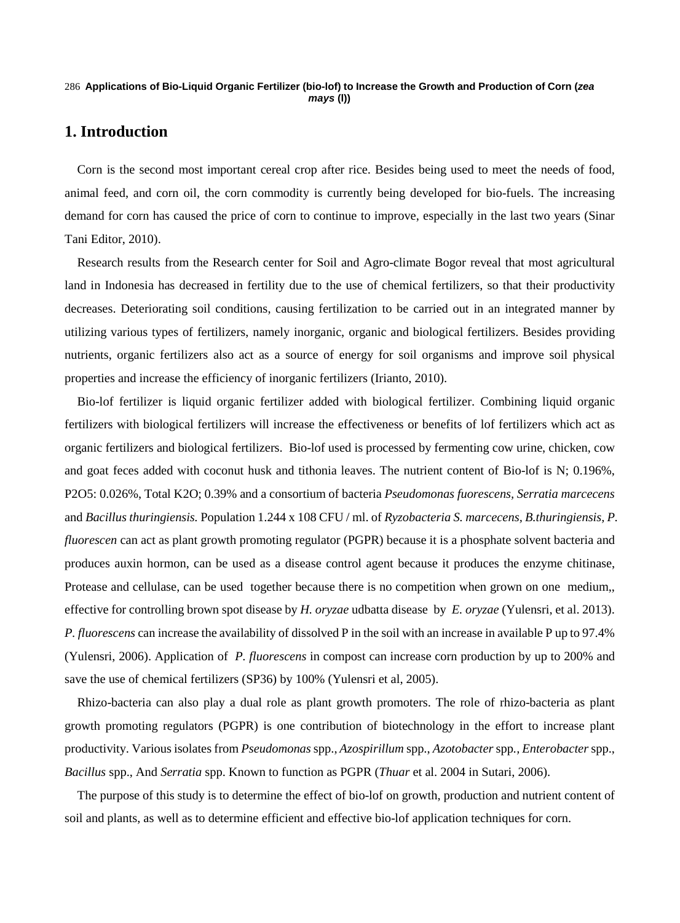#### **Applications of Bio-Liquid Organic Fertilizer (bio-lof) to Increase the Growth and Production of Corn (***zea*  286 *mays* **(l))**

# **1. Introduction**

Corn is the second most important cereal crop after rice. Besides being used to meet the needs of food, animal feed, and corn oil, the corn commodity is currently being developed for bio-fuels. The increasing demand for corn has caused the price of corn to continue to improve, especially in the last two years (Sinar Tani Editor, 2010).

Research results from the Research center for Soil and Agro-climate Bogor reveal that most agricultural land in Indonesia has decreased in fertility due to the use of chemical fertilizers, so that their productivity decreases. Deteriorating soil conditions, causing fertilization to be carried out in an integrated manner by utilizing various types of fertilizers, namely inorganic, organic and biological fertilizers. Besides providing nutrients, organic fertilizers also act as a source of energy for soil organisms and improve soil physical properties and increase the efficiency of inorganic fertilizers (Irianto, 2010).

Bio-lof fertilizer is liquid organic fertilizer added with biological fertilizer. Combining liquid organic fertilizers with biological fertilizers will increase the effectiveness or benefits of lof fertilizers which act as organic fertilizers and biological fertilizers. Bio-lof used is processed by fermenting cow urine, chicken, cow and goat feces added with coconut husk and tithonia leaves. The nutrient content of Bio-lof is N; 0.196%, P2O5: 0.026%, Total K2O; 0.39% and a consortium of bacteria *Pseudomonas fuorescens, Serratia marcecens*  and *Bacillus thuringiensis.* Population 1.244 x 108 CFU / ml. of *Ryzobacteria S. marcecens, B.thuringiensis, P. fluorescen* can act as plant growth promoting regulator (PGPR) because it is a phosphate solvent bacteria and produces auxin hormon, can be used as a disease control agent because it produces the enzyme chitinase, Protease and cellulase, can be used together because there is no competition when grown on one medium,, effective for controlling brown spot disease by *H. oryzae* udbatta disease by *E. oryzae* (Yulensri, et al. 2013). *P. fluorescens* can increase the availability of dissolved P in the soil with an increase in available P up to 97.4% (Yulensri, 2006). Application of *P. fluorescens* in compost can increase corn production by up to 200% and save the use of chemical fertilizers (SP36) by 100% (Yulensri et al, 2005).

Rhizo-bacteria can also play a dual role as plant growth promoters. The role of rhizo-bacteria as plant growth promoting regulators (PGPR) is one contribution of biotechnology in the effort to increase plant productivity. Various isolates from *Pseudomonas* spp., *Azospirillum* spp., *Azotobacter* spp*., Enterobacter* spp., *Bacillus* spp., And *Serratia* spp. Known to function as PGPR (*Thuar* et al. 2004 in Sutari, 2006).

The purpose of this study is to determine the effect of bio-lof on growth, production and nutrient content of soil and plants, as well as to determine efficient and effective bio-lof application techniques for corn.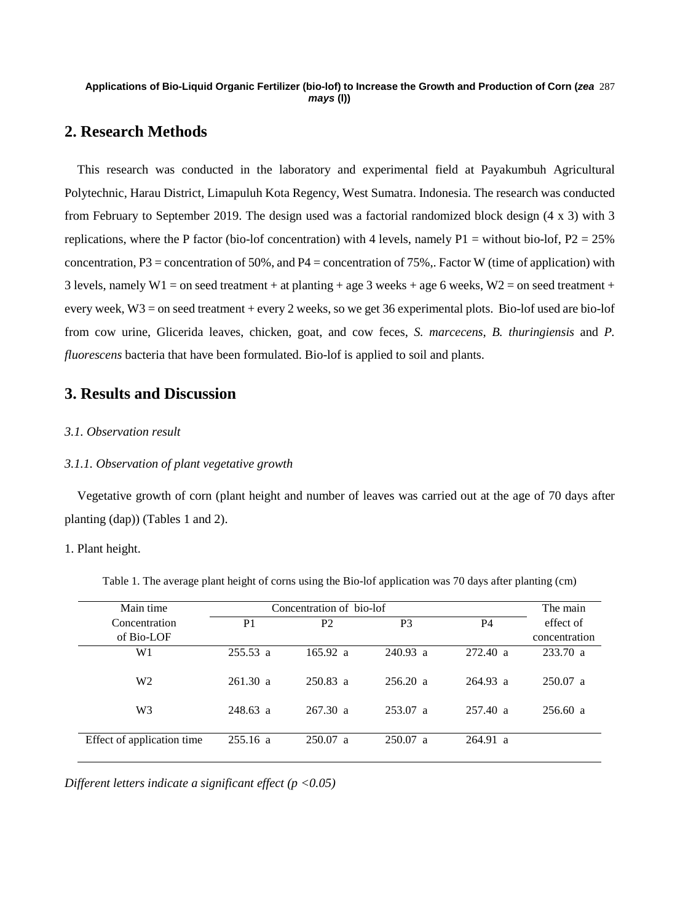#### **Applications of Bio-Liquid Organic Fertilizer (bio-lof) to Increase the Growth and Production of Corn (***zea*  287 *mays* **(l))**

# **2. Research Methods**

This research was conducted in the laboratory and experimental field at Payakumbuh Agricultural Polytechnic, Harau District, Limapuluh Kota Regency, West Sumatra. Indonesia. The research was conducted from February to September 2019. The design used was a factorial randomized block design (4 x 3) with 3 replications, where the P factor (bio-lof concentration) with 4 levels, namely P1 = without bio-lof, P2 = 25% concentration, P3 = concentration of 50%, and P4 = concentration of 75%. Factor W (time of application) with 3 levels, namely W1 = on seed treatment + at planting + age 3 weeks + age 6 weeks, W2 = on seed treatment + every week, W3 = on seed treatment + every 2 weeks, so we get 36 experimental plots. Bio-lof used are bio-lof from cow urine, Glicerida leaves, chicken, goat, and cow feces, *S. marcecens*, *B. thuringiensis* and *P. fluorescens* bacteria that have been formulated. Bio-lof is applied to soil and plants.

# **3. Results and Discussion**

# *3.1. Observation result*

## *3.1.1. Observation of plant vegetative growth*

Vegetative growth of corn (plant height and number of leaves was carried out at the age of 70 days after planting (dap)) (Tables 1 and 2).

#### 1. Plant height.

| Main time                  | Concentration of bio-lof | The main       |                |            |               |
|----------------------------|--------------------------|----------------|----------------|------------|---------------|
| Concentration              | P <sub>1</sub>           | P <sub>2</sub> | P <sub>3</sub> | <b>P4</b>  | effect of     |
| of Bio-LOF                 |                          |                |                |            | concentration |
| W1                         | $255.53$ a               | 165.92 a       | $240.93$ a     | 272.40 a   | 233.70 a      |
| W <sub>2</sub>             | 261.30 a                 | $250.83$ a     | 256.20 a       | $264.93$ a | $250.07$ a    |
| W <sub>3</sub>             | $248.63$ a               | 267.30 a       | 253.07 a       | 257.40 a   | 256.60 a      |
| Effect of application time | $255.16$ a               | $250.07$ a     | 250.07 a       | 264.91 a   |               |

Table 1. The average plant height of corns using the Bio-lof application was 70 days after planting (cm)

*Different letters indicate a significant effect (p <0.05)*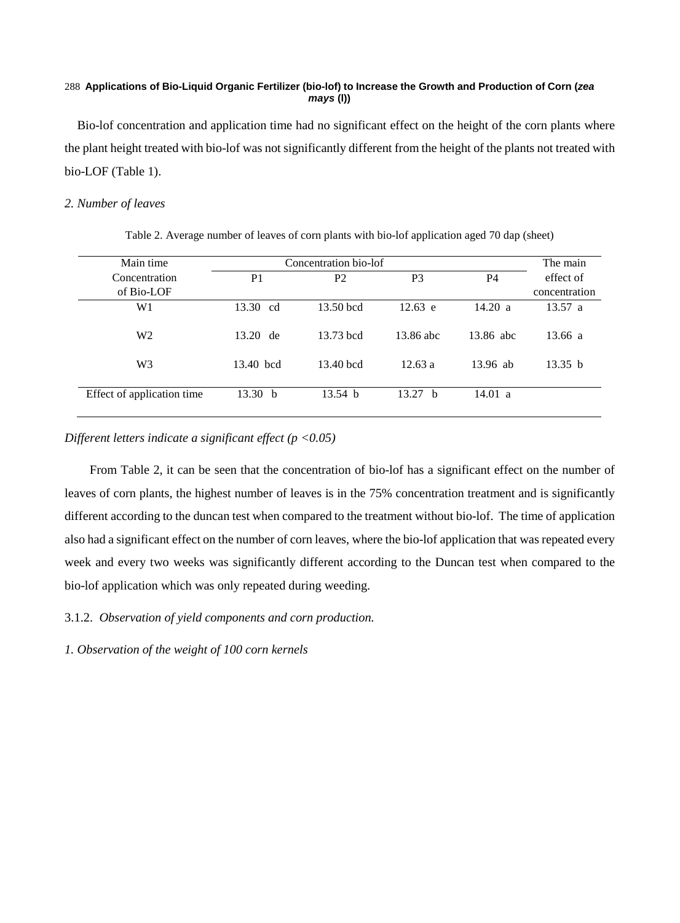#### **Applications of Bio-Liquid Organic Fertilizer (bio-lof) to Increase the Growth and Production of Corn (***zea*  288 *mays* **(l))**

Bio-lof concentration and application time had no significant effect on the height of the corn plants where the plant height treated with bio-lof was not significantly different from the height of the plants not treated with bio-LOF (Table 1).

# *2. Number of leaves*

| Table 2. Average number of leaves of corn plants with bio-lof application aged 70 dap (sheet) |  |  |  |  |
|-----------------------------------------------------------------------------------------------|--|--|--|--|
|                                                                                               |  |  |  |  |

| Main time                  | Concentration bio-lof | The main           |                    |            |               |
|----------------------------|-----------------------|--------------------|--------------------|------------|---------------|
| Concentration              | P <sub>1</sub>        | P <sub>2</sub>     | P <sub>3</sub>     | P4         | effect of     |
| of Bio-LOF                 |                       |                    |                    |            | concentration |
| W1                         | 13.30 cd              | 13.50 bcd          | $12.63$ e          | 14.20 a    | 13.57 a       |
| W <sub>2</sub>             | 13.20 de              | 13.73 bcd          | 13.86 abc          | 13.86 abc  | 13.66 a       |
| W <sub>3</sub>             | 13.40 bcd             | 13.40 bcd          | 12.63a             | $13.96$ ab | 13.35 h       |
| Effect of application time | 13.30 b               | 13.54 <sub>b</sub> | 13.27 <sub>b</sub> | 14.01 a    |               |

# *Different letters indicate a significant effect (p <0.05)*

From Table 2, it can be seen that the concentration of bio-lof has a significant effect on the number of leaves of corn plants, the highest number of leaves is in the 75% concentration treatment and is significantly different according to the duncan test when compared to the treatment without bio-lof. The time of application also had a significant effect on the number of corn leaves, where the bio-lof application that was repeated every week and every two weeks was significantly different according to the Duncan test when compared to the bio-lof application which was only repeated during weeding.

3.1.2. *Observation of yield components and corn production.*

*1. Observation of the weight of 100 corn kernels*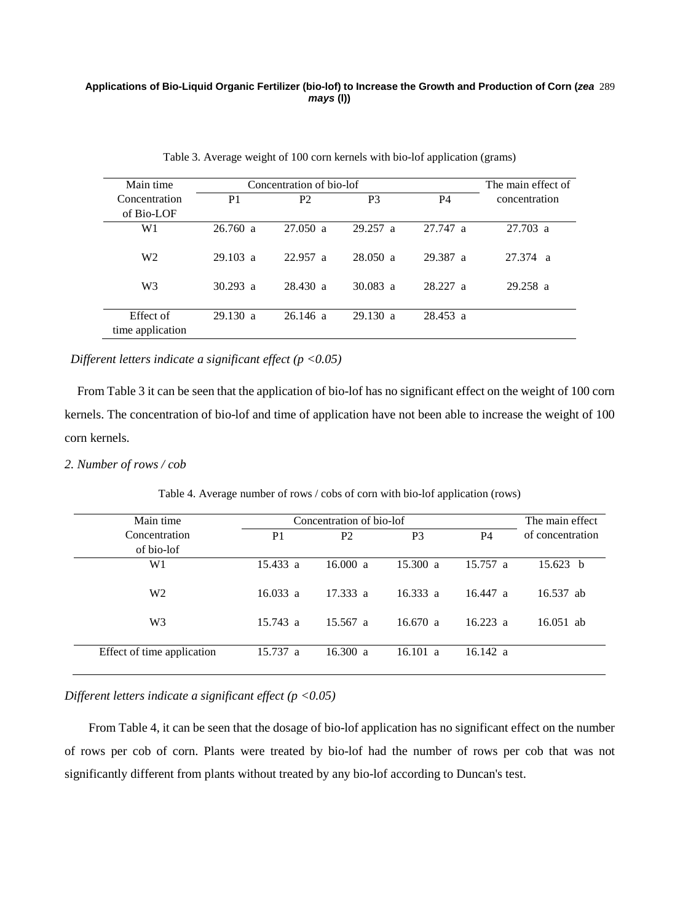#### **Applications of Bio-Liquid Organic Fertilizer (bio-lof) to Increase the Growth and Production of Corn (***zea*  289 *mays* **(l))**

| Main time                     |                    | Concentration of bio-lof |                |           |                    |  |
|-------------------------------|--------------------|--------------------------|----------------|-----------|--------------------|--|
| Concentration                 | P <sub>1</sub>     | P <sub>2</sub>           | P <sub>3</sub> | <b>P4</b> | concentration      |  |
| of Bio-LOF                    |                    |                          |                |           |                    |  |
| W1                            | 26.760 a           | 27.050 a                 | 29.257 a       | 27.747 a  | $27.703 \text{ a}$ |  |
| W <sub>2</sub>                | $29.103 \text{ a}$ | 22.957 a                 | 28.050 a       | 29.387 a  | 27.374 a           |  |
| W <sub>3</sub>                | $30.293$ a         | 28.430 a                 | $30.083$ a     | 28.227 a  | 29.258 a           |  |
| Effect of<br>time application | 29.130 a           | 26.146a                  | 29.130 a       | 28.453 a  |                    |  |

Table 3. Average weight of 100 corn kernels with bio-lof application (grams)

*Different letters indicate a significant effect (p <0.05)*

From Table 3 it can be seen that the application of bio-lof has no significant effect on the weight of 100 corn kernels. The concentration of bio-lof and time of application have not been able to increase the weight of 100 corn kernels.

## *2. Number of rows / cob*

| Main time                  |                    | Concentration of bio-lof |                |           | The main effect  |
|----------------------------|--------------------|--------------------------|----------------|-----------|------------------|
| Concentration              | P <sub>1</sub>     | P <sub>2</sub>           | P <sub>3</sub> | <b>P4</b> | of concentration |
| of bio-lof                 |                    |                          |                |           |                  |
| W1                         | 15.433 a           | 16.000 a                 | 15.300 a       | 15.757 a  | 15.623 b         |
| W <sub>2</sub>             | 16.033 a           | 17.333 a                 | 16.333 a       | 16.447 a  | 16.537 ab        |
| W <sub>3</sub>             | $15.743 \text{ a}$ | $15.567$ a               | 16.670 a       | 16.223a   | $16.051$ ab      |
| Effect of time application | 15.737 a           | 16.300 a                 | 16.101 a       | 16.142 a  |                  |

Table 4. Average number of rows / cobs of corn with bio-lof application (rows)

# *Different letters indicate a significant effect (p <0.05)*

From Table 4, it can be seen that the dosage of bio-lof application has no significant effect on the number of rows per cob of corn. Plants were treated by bio-lof had the number of rows per cob that was not significantly different from plants without treated by any bio-lof according to Duncan's test.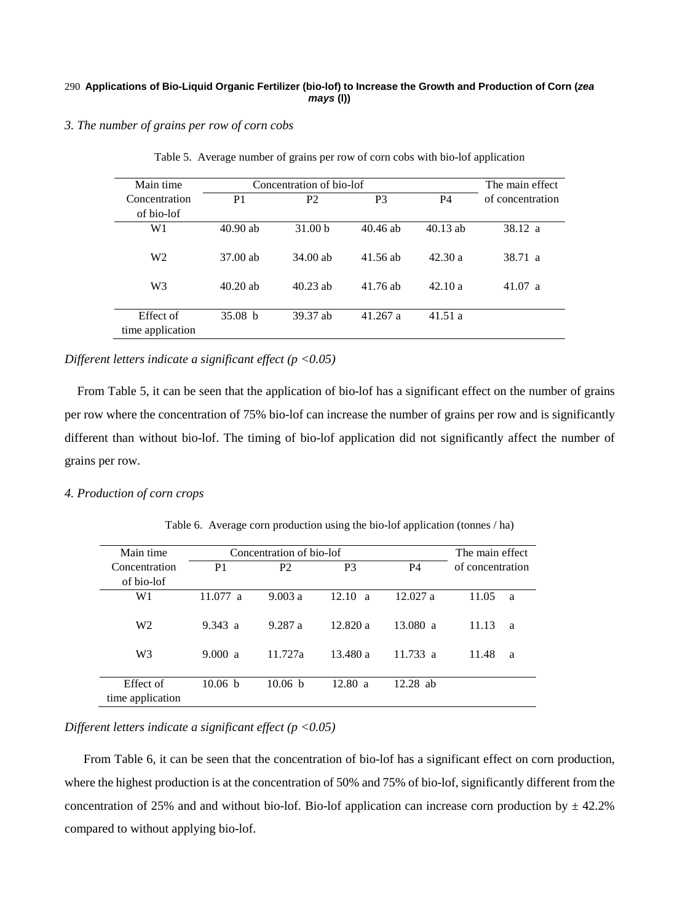#### **Applications of Bio-Liquid Organic Fertilizer (bio-lof) to Increase the Growth and Production of Corn (***zea*  290 *mays* **(l))**

#### *3. The number of grains per row of corn cobs*

| Main time                     | Concentration of bio-lof | The main effect    |                |            |                  |
|-------------------------------|--------------------------|--------------------|----------------|------------|------------------|
| Concentration                 | P <sub>1</sub>           | P <sub>2</sub>     | P <sub>3</sub> | P4         | of concentration |
| of bio-lof                    |                          |                    |                |            |                  |
| W <sub>1</sub>                | $40.90$ ab               | 31.00 <sub>b</sub> | $40.46$ ab     | $40.13$ ab | 38.12 a          |
| W <sub>2</sub>                | $37.00$ ab               | $34.00$ ab         | 41.56 ab       | 42.30a     | 38.71 a          |
| W <sub>3</sub>                | $40.20$ ab               | $40.23$ ab         | 41.76 ab       | 42.10a     | 41.07 a          |
| Effect of<br>time application | 35.08 <sub>b</sub>       | 39.37 ab           | 41.267 a       | 41.51 a    |                  |

Table 5. Average number of grains per row of corn cobs with bio-lof application

## *Different letters indicate a significant effect (p <0.05)*

From Table 5, it can be seen that the application of bio-lof has a significant effect on the number of grains per row where the concentration of 75% bio-lof can increase the number of grains per row and is significantly different than without bio-lof. The timing of bio-lof application did not significantly affect the number of grains per row.

## *4. Production of corn crops*

Table 6. Average corn production using the bio-lof application (tonnes / ha)

| Main time                     | Concentration of bio-lof | The main effect |                       |                |                  |
|-------------------------------|--------------------------|-----------------|-----------------------|----------------|------------------|
| Concentration                 | P <sub>1</sub>           | P <sub>2</sub>  | P <sub>3</sub>        | P <sub>4</sub> | of concentration |
| of bio-lof                    |                          |                 |                       |                |                  |
| W1                            | 11.077 a                 | 9.003a          | 12.10<br><sub>a</sub> | 12.027a        | 11.05<br>a       |
| W <sub>2</sub>                | 9.343 a                  | 9.287 a         | 12.820a               | 13.080 a       | 11.13<br>a       |
| W <sub>3</sub>                | 9.000 a                  | 11.727a         | 13.480 a              | 11.733 a       | 11.48<br>a       |
| Effect of<br>time application | 10.06 <sub>b</sub>       | 10.06 h         | 12.80 a               | $12.28$ ab     |                  |

## *Different letters indicate a significant effect (p <0.05)*

From Table 6, it can be seen that the concentration of bio-lof has a significant effect on corn production, where the highest production is at the concentration of 50% and 75% of bio-lof, significantly different from the concentration of 25% and and without bio-lof. Bio-lof application can increase corn production by  $\pm$  42.2% compared to without applying bio-lof.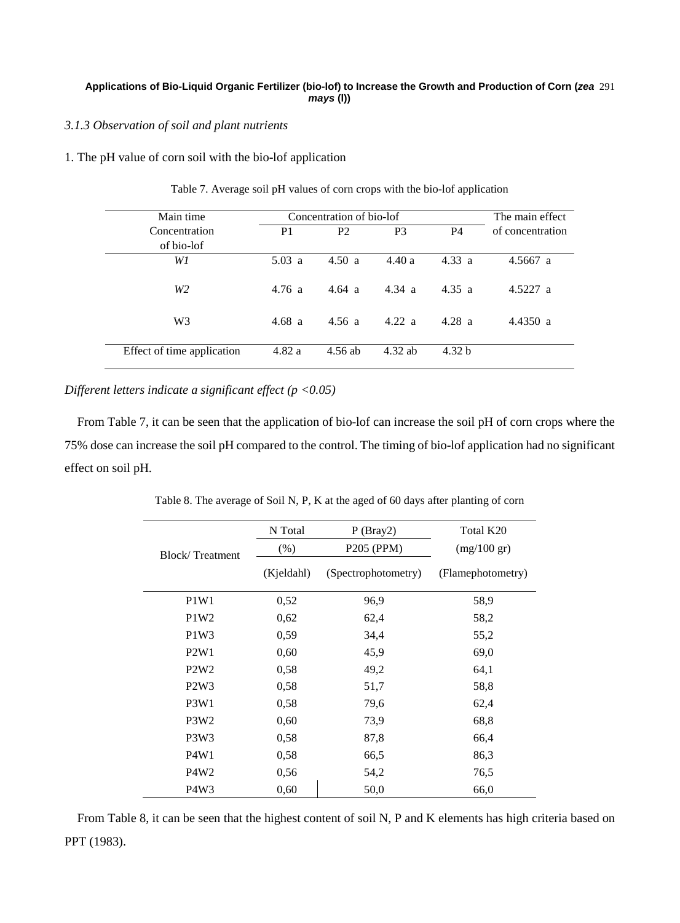## **Applications of Bio-Liquid Organic Fertilizer (bio-lof) to Increase the Growth and Production of Corn (***zea*  291 *mays* **(l))**

## *3.1.3 Observation of soil and plant nutrients*

## 1. The pH value of corn soil with the bio-lof application

| Main time                  | Concentration of bio-lof | The main effect |                  |                   |                  |
|----------------------------|--------------------------|-----------------|------------------|-------------------|------------------|
| Concentration              | P <sub>1</sub>           | P <sub>2</sub>  | P <sub>3</sub>   | P4                | of concentration |
| of bio-lof                 |                          |                 |                  |                   |                  |
| W1                         | 5.03 a                   | 4.50 a          | 4.40a            | 4.33 a            | 4.5667 a         |
| W <sub>2</sub>             | 4.76a                    | 4.64a           | $4.34 \text{ a}$ | 4.35 a            | 4.5227 a         |
| W <sub>3</sub>             | 4.68 a                   | 4.56a           | 4.22 a           | 4.28 a            | 4.4350 a         |
| Effect of time application | 4.82a                    | 4.56 ab         | $4.32$ ab        | 4.32 <sub>b</sub> |                  |

Table 7. Average soil pH values of corn crops with the bio-lof application

*Different letters indicate a significant effect (p <0.05)*

From Table 7, it can be seen that the application of bio-lof can increase the soil pH of corn crops where the 75% dose can increase the soil pH compared to the control. The timing of bio-lof application had no significant effect on soil pH.

Table 8. The average of Soil N, P, K at the aged of 60 days after planting of corn

|                               | N Total    | P(Bray2)            | Total K20             |
|-------------------------------|------------|---------------------|-----------------------|
| <b>Block/Treatment</b>        | (% )       | P205 (PPM)          | $(mg/100 \text{ gr})$ |
|                               | (Kjeldahl) | (Spectrophotometry) | (Flamephotometry)     |
| P <sub>1</sub> W <sub>1</sub> | 0,52       | 96,9                | 58,9                  |
| P1W2                          | 0,62       | 62,4                | 58,2                  |
| P1W3                          | 0,59       | 34,4                | 55,2                  |
| P <sub>2</sub> W <sub>1</sub> | 0,60       | 45,9                | 69,0                  |
| P2W2                          | 0,58       | 49,2                | 64,1                  |
| P <sub>2</sub> W <sub>3</sub> | 0,58       | 51,7                | 58,8                  |
| P3W1                          | 0,58       | 79,6                | 62,4                  |
| P <sub>3</sub> W <sub>2</sub> | 0,60       | 73,9                | 68,8                  |
| P <sub>3</sub> W <sub>3</sub> | 0,58       | 87,8                | 66,4                  |
| P4W1                          | 0,58       | 66,5                | 86,3                  |
| P <sub>4</sub> W <sub>2</sub> | 0,56       | 54,2                | 76,5                  |
| P <sub>4</sub> W <sub>3</sub> | 0,60       | 50,0                | 66,0                  |

From Table 8, it can be seen that the highest content of soil N, P and K elements has high criteria based on PPT (1983).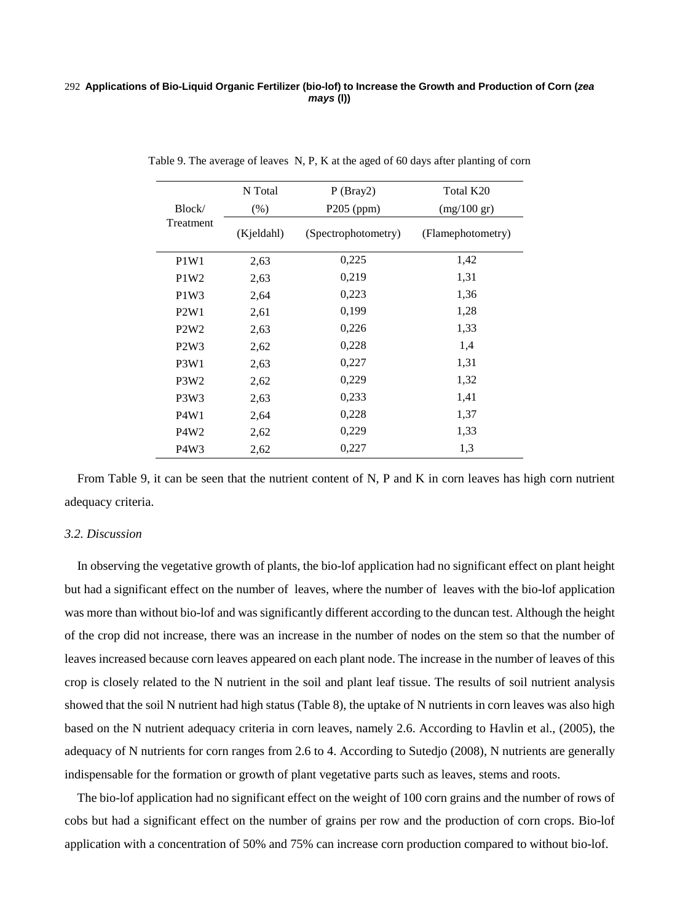#### **Applications of Bio-Liquid Organic Fertilizer (bio-lof) to Increase the Growth and Production of Corn (***zea*  292 *mays* **(l))**

|                               | N Total    | P(Bray2)            | Total K20             |
|-------------------------------|------------|---------------------|-----------------------|
| Block/                        | (% )       | $P205$ (ppm)        | $(mg/100 \text{ gr})$ |
| Treatment                     | (Kjeldahl) | (Spectrophotometry) | (Flamephotometry)     |
| P <sub>1</sub> W <sub>1</sub> | 2,63       | 0,225               | 1,42                  |
| P1W2                          | 2.63       | 0,219               | 1,31                  |
| P1W3                          | 2,64       | 0,223               | 1,36                  |
| P2W1                          | 2,61       | 0,199               | 1,28                  |
| P2W2                          | 2,63       | 0,226               | 1,33                  |
| P2W3                          | 2,62       | 0,228               | 1,4                   |
| P <sub>3</sub> W <sub>1</sub> | 2,63       | 0,227               | 1,31                  |
| P <sub>3</sub> W <sub>2</sub> | 2,62       | 0,229               | 1,32                  |
| P <sub>3</sub> W <sub>3</sub> | 2,63       | 0,233               | 1,41                  |
| P4W1                          | 2,64       | 0,228               | 1,37                  |
| P4W <sub>2</sub>              | 2,62       | 0,229               | 1,33                  |
| P <sub>4</sub> W <sub>3</sub> | 2,62       | 0,227               | 1,3                   |

Table 9. The average of leaves N, P, K at the aged of 60 days after planting of corn

From Table 9, it can be seen that the nutrient content of N, P and K in corn leaves has high corn nutrient adequacy criteria.

#### *3.2. Discussion*

In observing the vegetative growth of plants, the bio-lof application had no significant effect on plant height but had a significant effect on the number of leaves, where the number of leaves with the bio-lof application was more than without bio-lof and was significantly different according to the duncan test. Although the height of the crop did not increase, there was an increase in the number of nodes on the stem so that the number of leaves increased because corn leaves appeared on each plant node. The increase in the number of leaves of this crop is closely related to the N nutrient in the soil and plant leaf tissue. The results of soil nutrient analysis showed that the soil N nutrient had high status (Table 8), the uptake of N nutrients in corn leaves was also high based on the N nutrient adequacy criteria in corn leaves, namely 2.6. According to Havlin et al., (2005), the adequacy of N nutrients for corn ranges from 2.6 to 4. According to Sutedjo (2008), N nutrients are generally indispensable for the formation or growth of plant vegetative parts such as leaves, stems and roots.

The bio-lof application had no significant effect on the weight of 100 corn grains and the number of rows of cobs but had a significant effect on the number of grains per row and the production of corn crops. Bio-lof application with a concentration of 50% and 75% can increase corn production compared to without bio-lof.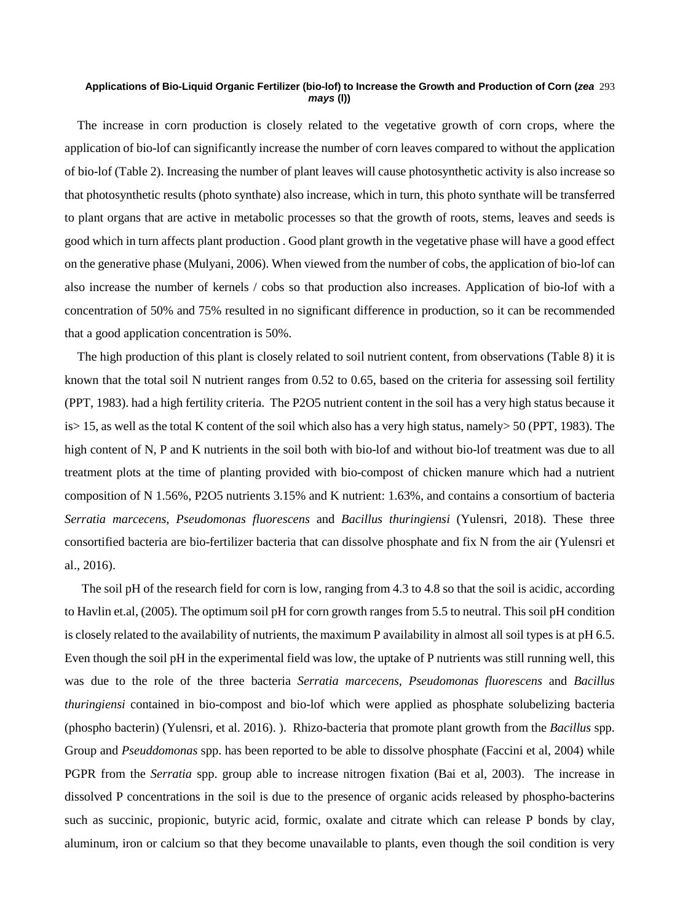#### **Applications of Bio-Liquid Organic Fertilizer (bio-lof) to Increase the Growth and Production of Corn (***zea*  293 *mays* **(l))**

The increase in corn production is closely related to the vegetative growth of corn crops, where the application of bio-lof can significantly increase the number of corn leaves compared to without the application of bio-lof (Table 2). Increasing the number of plant leaves will cause photosynthetic activity is also increase so that photosynthetic results (photo synthate) also increase, which in turn, this photo synthate will be transferred to plant organs that are active in metabolic processes so that the growth of roots, stems, leaves and seeds is good which in turn affects plant production . Good plant growth in the vegetative phase will have a good effect on the generative phase (Mulyani, 2006). When viewed from the number of cobs, the application of bio-lof can also increase the number of kernels / cobs so that production also increases. Application of bio-lof with a concentration of 50% and 75% resulted in no significant difference in production, so it can be recommended that a good application concentration is 50%.

The high production of this plant is closely related to soil nutrient content, from observations (Table 8) it is known that the total soil N nutrient ranges from 0.52 to 0.65, based on the criteria for assessing soil fertility (PPT, 1983). had a high fertility criteria. The P2O5 nutrient content in the soil has a very high status because it is> 15, as well as the total K content of the soil which also has a very high status, namely> 50 (PPT, 1983). The high content of N, P and K nutrients in the soil both with bio-lof and without bio-lof treatment was due to all treatment plots at the time of planting provided with bio-compost of chicken manure which had a nutrient composition of N 1.56%, P2O5 nutrients 3.15% and K nutrient: 1.63%, and contains a consortium of bacteria *Serratia marcecens*, *Pseudomonas fluorescens* and *Bacillus thuringiensi* (Yulensri, 2018). These three consortified bacteria are bio-fertilizer bacteria that can dissolve phosphate and fix N from the air (Yulensri et al., 2016).

The soil pH of the research field for corn is low, ranging from 4.3 to 4.8 so that the soil is acidic, according to Havlin et.al, (2005). The optimum soil pH for corn growth ranges from 5.5 to neutral. This soil pH condition is closely related to the availability of nutrients, the maximum P availability in almost all soil types is at pH 6.5. Even though the soil pH in the experimental field was low, the uptake of P nutrients was still running well, this was due to the role of the three bacteria *Serratia marcecens*, *Pseudomonas fluorescens* and *Bacillus thuringiensi* contained in bio-compost and bio-lof which were applied as phosphate solubelizing bacteria (phospho bacterin) (Yulensri, et al. 2016). ). Rhizo-bacteria that promote plant growth from the *Bacillus* spp. Group and *Pseuddomonas* spp. has been reported to be able to dissolve phosphate (Faccini et al, 2004) while PGPR from the *Serratia* spp. group able to increase nitrogen fixation (Bai et al, 2003). The increase in dissolved P concentrations in the soil is due to the presence of organic acids released by phospho-bacterins such as succinic, propionic, butyric acid, formic, oxalate and citrate which can release P bonds by clay, aluminum, iron or calcium so that they become unavailable to plants, even though the soil condition is very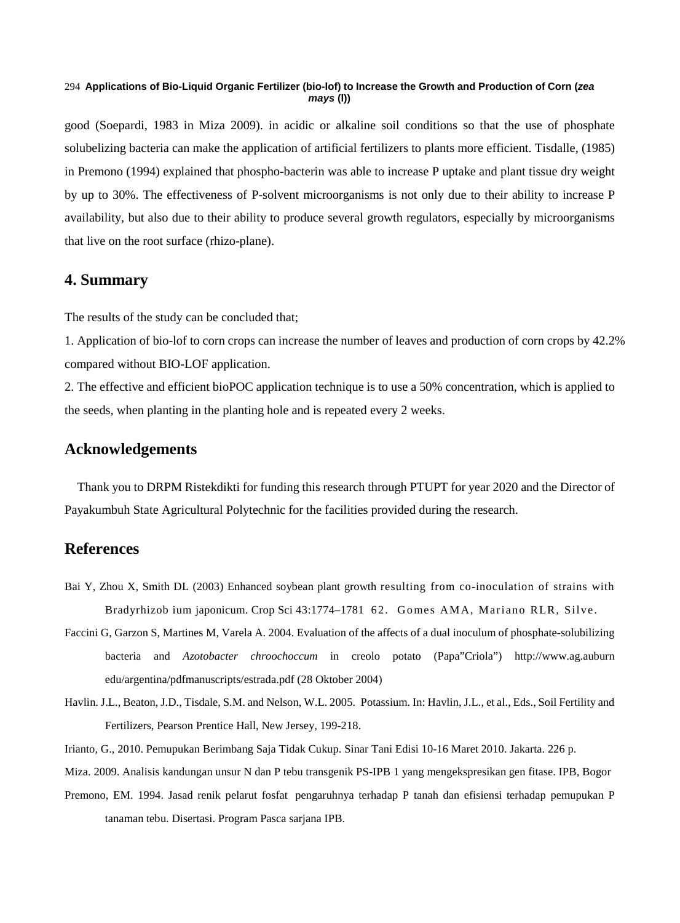#### **Applications of Bio-Liquid Organic Fertilizer (bio-lof) to Increase the Growth and Production of Corn (***zea*  294 *mays* **(l))**

good (Soepardi, 1983 in Miza 2009). in acidic or alkaline soil conditions so that the use of phosphate solubelizing bacteria can make the application of artificial fertilizers to plants more efficient. Tisdalle, (1985) in Premono (1994) explained that phospho-bacterin was able to increase P uptake and plant tissue dry weight by up to 30%. The effectiveness of P-solvent microorganisms is not only due to their ability to increase P availability, but also due to their ability to produce several growth regulators, especially by microorganisms that live on the root surface (rhizo-plane).

# **4. Summary**

The results of the study can be concluded that;

1. Application of bio-lof to corn crops can increase the number of leaves and production of corn crops by 42.2% compared without BIO-LOF application.

2. The effective and efficient bioPOC application technique is to use a 50% concentration, which is applied to the seeds, when planting in the planting hole and is repeated every 2 weeks.

# **Acknowledgements**

Thank you to DRPM Ristekdikti for funding this research through PTUPT for year 2020 and the Director of Payakumbuh State Agricultural Polytechnic for the facilities provided during the research.

# **References**

- Bai Y, Zhou X, Smith DL (2003) Enhanced soybean plant growth resulting from co-inoculation of strains with Bradyrhizob ium japonicum. Crop Sci 43:1774–1781 62. Gomes AMA, Mariano RLR, Silve.
- Faccini G, Garzon S, Martines M, Varela A. 2004. Evaluation of the affects of a dual inoculum of phosphate-solubilizing bacteria and *Azotobacter chroochoccum* in creolo potato (Papa"Criola") http://www.ag.auburn edu/argentina/pdfmanuscripts/estrada.pdf (28 Oktober 2004)
- Havlin. J.L., Beaton, J.D., Tisdale, S.M. and Nelson, W.L. 2005. Potassium. In: Havlin, J.L., et al., Eds., Soil Fertility and Fertilizers, Pearson Prentice Hall, New Jersey, 199-218.
- Irianto, G., 2010. Pemupukan Berimbang Saja Tidak Cukup. Sinar Tani Edisi 10-16 Maret 2010. Jakarta. 226 p.

Miza. 2009. Analisis kandungan unsur N dan P tebu transgenik PS-IPB 1 yang mengekspresikan gen fitase. IPB, Bogor

Premono, EM. 1994. Jasad renik pelarut fosfat pengaruhnya terhadap P tanah dan efisiensi terhadap pemupukan P tanaman tebu. Disertasi. Program Pasca sarjana IPB.